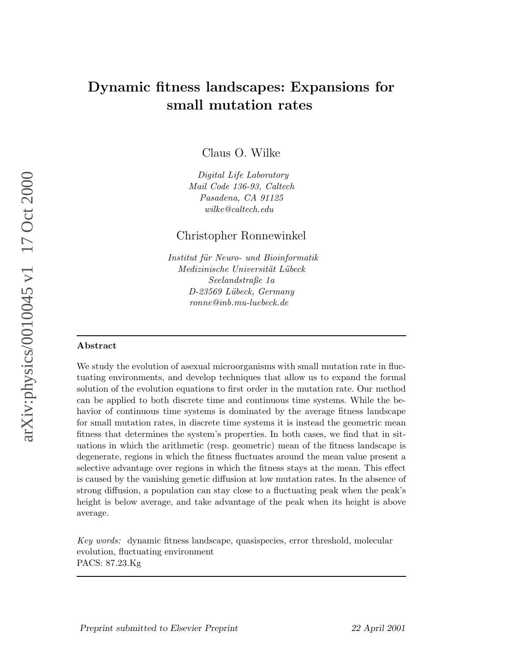# Dynamic fitness landscapes: Expansions for small mutation rates

Claus O. Wilk e

Digital Life Laboratory Mail Code 136-93, Caltech Pasadena, CA 91125 wilke@caltech.edu

Christopher Ronnewinkel

Institut fur¨ Neuro- und Bioinformatik Medizinische Universität Lübeck Seelandstraße 1a D-23569 Lübeck, Germany ronne@inb.mu-lueb eck.de

#### Abstract

We study the evolution of asexual microorganisms with small mutation rate in fluctuating environments, and develop techniques that allow us to expand the formal solution of the evolution equations to first order in the mutation rate. Our metho d can b e applied to both discrete time and continuous time systems. While the behavior of continuous time systems is dominated by the average fitness landscape for small mutation rates, in discrete time systems it is instead the geometric mean fitness that determines the system's properties. In both cases, w e find that in situations in which the arithmetic (resp. geometric) mean of the fitness landscape is degenerate, regions in which the fitness fluctuates around the mean value present a selectiv e advantage o ver regions in whic h the fitness stays at the mean. This effect is caused b y the vanishing genetic diffusion at lo w mutation rates. In the absence of strong diffusion, a population can sta y close to a fluctuating peak when the peak's height is below average, and take advantage of the peak when its height is above a verage.

Key words: dynamic fitness landscape, quasispecies, error threshold, molecular evolution, fluctuating environmen t P ACS: 87.23.Kg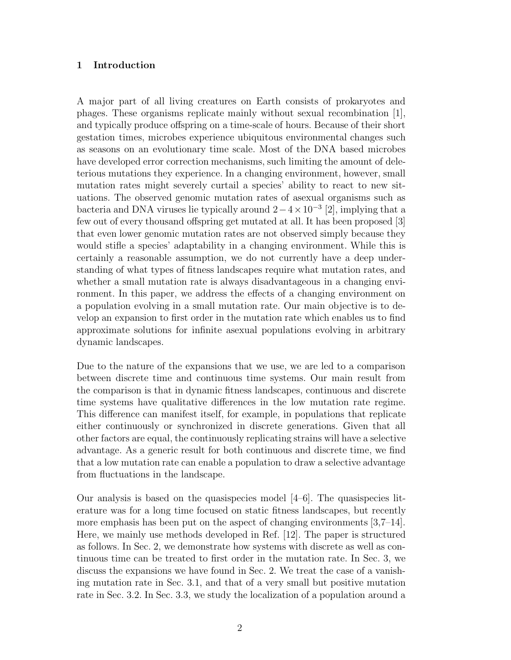## 1 Introduction

A major part of all living creatures on Earth consists of prokaryotes and phages. These organisms replicate mainly without sexual recombination  $|1|$ , and typically produce offspring on a time-scale of hours. Because of their short gestation times, microbes experience ubiquitous environmental changes such as seasons on an evolutionary time scale. Most of the DNA based microbes have developed error correction mechanisms, such limiting the amount of deleterious mutations they experience. In a changing environment, however, small mutation rates might severely curtail a species' ability to react to new situations. The observed genomic mutation rates of asexual organisms such as bacteria and DNA viruses lie typically around  $2-4\times10^{-3}$  [2], implying that a few out of every thousand offspring get mutated at all. It has been proposed [3] that even lower genomic mutation rates are not observed simply because they would stifle a species' adaptability in a changing environment. While this is certainly a reasonable assumption, we do not currently have a deep understanding of what types of fitness landscapes require what mutation rates, and whether a small mutation rate is always disadvantageous in a changing environment. In this paper, we address the effects of a changing environment on a population evolving in a small mutation rate. Our main objective is to develop an expansion to first order in the mutation rate which enables us to find approximate solutions for infinite asexual populations evolving in arbitrary dynamic landscapes.

Due to the nature of the expansions that we use, we are led to a comparison between discrete time and continuous time systems. Our main result from the comparison is that in dynamic fitness landscapes, continuous and discrete time systems have qualitative differences in the low mutation rate regime. This difference can manifest itself, for example, in populations that replicate either continuously or synchronized in discrete generations. Given that all other factors are equal, the continuously replicating strains will have a selective advantage. As a generic result for both continuous and discrete time, we find that a low mutation rate can enable a population to draw a selective advantage from fluctuations in the landscape.

Our analysis is based on the quasispecies model [4–6]. The quasispecies literature was for a long time focused on static fitness landscapes, but recently more emphasis has been put on the aspect of changing environments [3,7–14]. Here, we mainly use methods developed in Ref. [12]. The paper is structured as follows. In Sec. 2, we demonstrate how systems with discrete as well as continuous time can be treated to first order in the mutation rate. In Sec. 3, we discuss the expansions we have found in Sec. 2. We treat the case of a vanishing mutation rate in Sec. 3.1, and that of a very small but positive mutation rate in Sec. 3.2. In Sec. 3.3, we study the localization of a population around a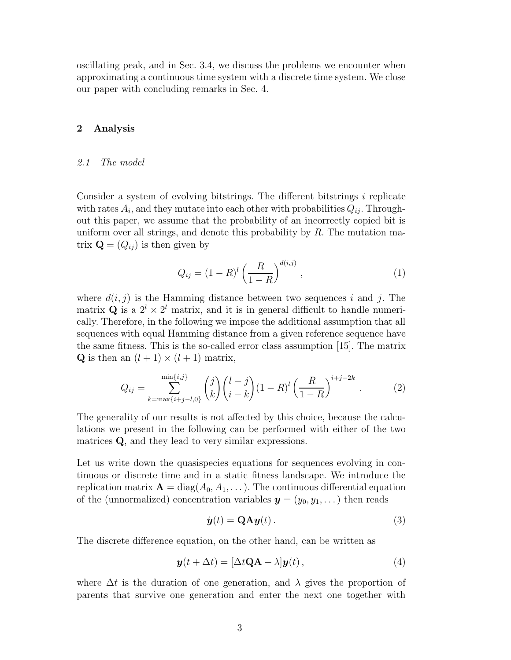oscillating peak, and in Sec. 3.4, we discuss the problems we encounter when approximating a continuous time system with a discrete time system. We close our paper with concluding remarks in Sec. 4.

# 2 Analysis

### 2.1 The model

Consider a system of evolving bitstrings. The different bitstrings  $i$  replicate with rates  $A_i$ , and they mutate into each other with probabilities  $Q_{ij}$ . Throughout this paper, we assume that the probability of an incorrectly copied bit is uniform over all strings, and denote this probability by  $R$ . The mutation matrix  $\mathbf{Q} = (Q_{ij})$  is then given by

$$
Q_{ij} = (1 - R)^l \left(\frac{R}{1 - R}\right)^{d(i,j)},
$$
\n(1)

where  $d(i, j)$  is the Hamming distance between two sequences i and j. The matrix **Q** is a  $2^l \times 2^l$  matrix, and it is in general difficult to handle numerically. Therefore, in the following we impose the additional assumption that all sequences with equal Hamming distance from a given reference sequence have the same fitness. This is the so-called error class assumption [15]. The matrix **Q** is then an  $(l + 1) \times (l + 1)$  matrix,

$$
Q_{ij} = \sum_{k=\max\{i+j-l,0\}}^{\min\{i,j\}} \binom{j}{k} \binom{l-j}{i-k} (1-R)^l \left(\frac{R}{1-R}\right)^{i+j-2k} . \tag{2}
$$

The generality of our results is not affected by this choice, because the calculations we present in the following can be performed with either of the two matrices Q, and they lead to very similar expressions.

Let us write down the quasispecies equations for sequences evolving in continuous or discrete time and in a static fitness landscape. We introduce the replication matrix  $\mathbf{A} = \text{diag}(A_0, A_1, \dots)$ . The continuous differential equation of the (unnormalized) concentration variables  $y = (y_0, y_1, \dots)$  then reads

$$
\dot{\boldsymbol{y}}(t) = \mathbf{Q} \mathbf{A} \boldsymbol{y}(t) \,. \tag{3}
$$

The discrete difference equation, on the other hand, can be written as

$$
\mathbf{y}(t + \Delta t) = [\Delta t \mathbf{Q} \mathbf{A} + \lambda] \mathbf{y}(t), \qquad (4)
$$

where  $\Delta t$  is the duration of one generation, and  $\lambda$  gives the proportion of parents that survive one generation and enter the next one together with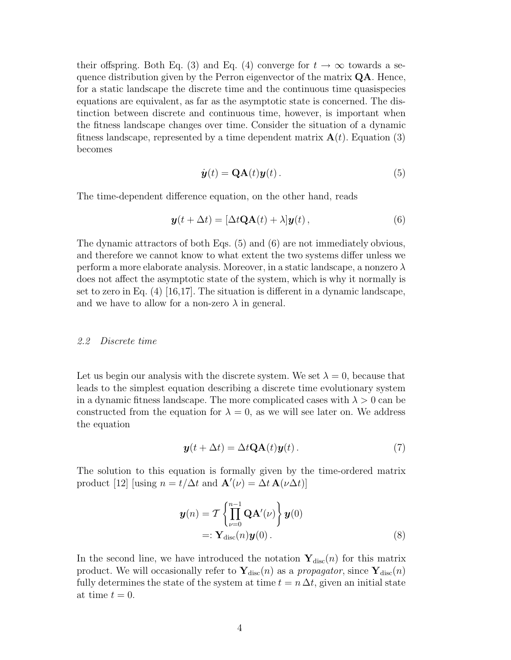their offspring. Both Eq. (3) and Eq. (4) converge for  $t \to \infty$  towards a sequence distribution given by the Perron eigenvector of the matrix  $QA$ . Hence, for a static landscape the discrete time and the continuous time quasispecies equations are equivalent, as far as the asymptotic state is concerned. The distinction between discrete and continuous time, however, is important when the fitness landscape changes over time. Consider the situation of a dynamic fitness landscape, represented by a time dependent matrix  $A(t)$ . Equation (3) becomes

$$
\dot{\boldsymbol{y}}(t) = \mathbf{Q}\mathbf{A}(t)\boldsymbol{y}(t). \tag{5}
$$

The time-dependent difference equation, on the other hand, reads

$$
\mathbf{y}(t + \Delta t) = [\Delta t \mathbf{Q} \mathbf{A}(t) + \lambda] \mathbf{y}(t), \qquad (6)
$$

The dynamic attractors of both Eqs. (5) and (6) are not immediately obvious, and therefore we cannot know to what extent the two systems differ unless we perform a more elaborate analysis. Moreover, in a static landscape, a nonzero  $\lambda$ does not affect the asymptotic state of the system, which is why it normally is set to zero in Eq.  $(4)$  [16,17]. The situation is different in a dynamic landscape, and we have to allow for a non-zero  $\lambda$  in general.

## 2.2 Discrete time

Let us begin our analysis with the discrete system. We set  $\lambda = 0$ , because that leads to the simplest equation describing a discrete time evolutionary system in a dynamic fitness landscape. The more complicated cases with  $\lambda > 0$  can be constructed from the equation for  $\lambda = 0$ , as we will see later on. We address the equation

$$
\mathbf{y}(t + \Delta t) = \Delta t \mathbf{Q} \mathbf{A}(t) \mathbf{y}(t).
$$
 (7)

The solution to this equation is formally given by the time-ordered matrix product [12] [using  $n = t/\Delta t$  and  $\mathbf{A}'(\nu) = \Delta t \mathbf{A}(\nu \Delta t)$ ]

$$
\mathbf{y}(n) = \mathcal{T} \left\{ \prod_{\nu=0}^{n-1} \mathbf{Q} \mathbf{A}'(\nu) \right\} \mathbf{y}(0)
$$
  
=:  $\mathbf{Y}_{\text{disc}}(n) \mathbf{y}(0)$ . (8)

In the second line, we have introduced the notation  $Y_{disc}(n)$  for this matrix product. We will occasionally refer to  $\mathbf{Y}_{disc}(n)$  as a propagator, since  $\mathbf{Y}_{disc}(n)$ fully determines the state of the system at time  $t = n \Delta t$ , given an initial state at time  $t = 0$ .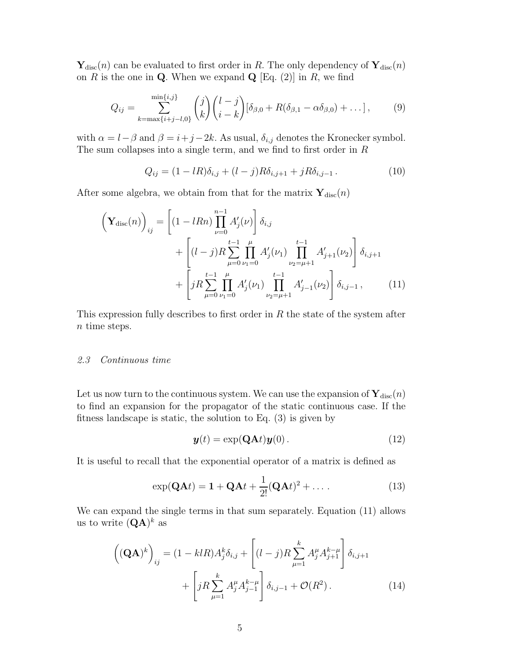$\mathbf{Y}_{\text{disc}}(n)$  can be evaluated to first order in R. The only dependency of  $\mathbf{Y}_{\text{disc}}(n)$ on R is the one in Q. When we expand  $\mathbf{Q}$  [Eq. (2)] in R, we find

$$
Q_{ij} = \sum_{k=\max\{i+j-l,0\}}^{\min\{i,j\}} \binom{j}{k} \binom{l-j}{i-k} [\delta_{\beta,0} + R(\delta_{\beta,1} - \alpha \delta_{\beta,0}) + \dots], \tag{9}
$$

with  $\alpha = l - \beta$  and  $\beta = i + j - 2k$ . As usual,  $\delta_{i,j}$  denotes the Kronecker symbol. The sum collapses into a single term, and we find to first order in R

$$
Q_{ij} = (1 - lR)\delta_{i,j} + (l - j)R\delta_{i,j+1} + jR\delta_{i,j-1}.
$$
 (10)

After some algebra, we obtain from that for the matrix  $\mathbf{Y}_{disc}(n)$ 

$$
\left(\mathbf{Y}_{\text{disc}}(n)\right)_{ij} = \left[ (1 - lRn) \prod_{\nu=0}^{n-1} A'_j(\nu) \right] \delta_{i,j} \n+ \left[ (l-j)R \sum_{\mu=0}^{t-1} \prod_{\nu_1=0}^{\mu} A'_j(\nu_1) \prod_{\nu_2=\mu+1}^{t-1} A'_{j+1}(\nu_2) \right] \delta_{i,j+1} \n+ \left[ jR \sum_{\mu=0}^{t-1} \prod_{\nu_1=0}^{\mu} A'_j(\nu_1) \prod_{\nu_2=\mu+1}^{t-1} A'_{j-1}(\nu_2) \right] \delta_{i,j-1}, \quad (11)
$$

This expression fully describes to first order in  $R$  the state of the system after n time steps.

#### 2.3 Continuous time

Let us now turn to the continuous system. We can use the expansion of  $Y_{disc}(n)$ to find an expansion for the propagator of the static continuous case. If the fitness landscape is static, the solution to Eq. (3) is given by

$$
\mathbf{y}(t) = \exp(\mathbf{Q}\mathbf{A}t)\mathbf{y}(0). \tag{12}
$$

It is useful to recall that the exponential operator of a matrix is defined as

$$
\exp(\mathbf{Q}\mathbf{A}t) = \mathbf{1} + \mathbf{Q}\mathbf{A}t + \frac{1}{2!}(\mathbf{Q}\mathbf{A}t)^2 + \dots
$$
 (13)

We can expand the single terms in that sum separately. Equation (11) allows us to write  $(QA)^k$  as

$$
\left( (\mathbf{QA})^{k} \right)_{ij} = (1 - k l R) A_{j}^{k} \delta_{i,j} + \left[ (l - j) R \sum_{\mu=1}^{k} A_{j}^{\mu} A_{j+1}^{k-\mu} \right] \delta_{i,j+1} + \left[ j R \sum_{\mu=1}^{k} A_{j}^{\mu} A_{j-1}^{k-\mu} \right] \delta_{i,j-1} + \mathcal{O}(R^{2}). \tag{14}
$$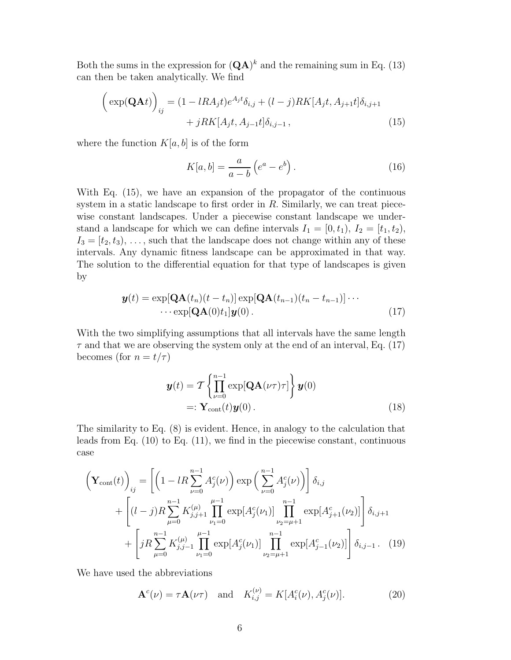Both the sums in the expression for  $(QA)^k$  and the remaining sum in Eq. (13) can then be taken analytically. We find

$$
\left(\exp(\mathbf{Q}\mathbf{A}t)\right)_{ij} = (1 - lRA_jt)e^{A_jt}\delta_{i,j} + (l-j)RK[A_jt, A_{j+1}t]\delta_{i,j+1} + jRK[A_jt, A_{j-1}t]\delta_{i,j-1},
$$
\n(15)

where the function  $K[a, b]$  is of the form

$$
K[a,b] = \frac{a}{a-b} \left( e^a - e^b \right). \tag{16}
$$

With Eq. (15), we have an expansion of the propagator of the continuous system in a static landscape to first order in  $R$ . Similarly, we can treat piecewise constant landscapes. Under a piecewise constant landscape we understand a landscape for which we can define intervals  $I_1 = [0, t_1), I_2 = [t_1, t_2),$  $I_3 = [t_2, t_3), \ldots$ , such that the landscape does not change within any of these intervals. Any dynamic fitness landscape can be approximated in that way. The solution to the differential equation for that type of landscapes is given by

$$
\mathbf{y}(t) = \exp[\mathbf{QA}(t_n)(t - t_n)] \exp[\mathbf{QA}(t_{n-1})(t_n - t_{n-1})] \cdots
$$

$$
\cdots \exp[\mathbf{QA}(0)t_1]\mathbf{y}(0).
$$
(17)

With the two simplifying assumptions that all intervals have the same length  $\tau$  and that we are observing the system only at the end of an interval, Eq. (17) becomes (for  $n = t/\tau$ )

$$
\mathbf{y}(t) = \mathcal{T} \left\{ \prod_{\nu=0}^{n-1} \exp[\mathbf{QA}(\nu\tau)\tau] \right\} \mathbf{y}(0)
$$
  
=:  $\mathbf{Y}_{\text{cont}}(t)\mathbf{y}(0)$ . (18)

The similarity to Eq. (8) is evident. Hence, in analogy to the calculation that leads from Eq. (10) to Eq. (11), we find in the piecewise constant, continuous case

$$
\left(\mathbf{Y}_{\text{cont}}(t)\right)_{ij} = \left[\left(1 - lR \sum_{\nu=0}^{n-1} A_j^c(\nu)\right) \exp\left(\sum_{\nu=0}^{n-1} A_j^c(\nu)\right)\right] \delta_{i,j} \n+ \left[ (l-j)R \sum_{\mu=0}^{n-1} K_{j,j+1}^{(\mu)} \prod_{\nu_1=0}^{\mu-1} \exp[A_j^c(\nu_1)] \prod_{\nu_2=\mu+1}^{n-1} \exp[A_{j+1}^c(\nu_2)] \right] \delta_{i,j+1} \n+ \left[ jR \sum_{\mu=0}^{n-1} K_{j,j-1}^{(\mu)} \prod_{\nu_1=0}^{\mu-1} \exp[A_j^c(\nu_1)] \prod_{\nu_2=\mu+1}^{n-1} \exp[A_{j-1}^c(\nu_2)] \right] \delta_{i,j-1}.
$$
\n(19)

We have used the abbreviations

$$
\mathbf{A}^c(\nu) = \tau \mathbf{A}(\nu \tau) \quad \text{and} \quad K_{i,j}^{(\nu)} = K[A_i^c(\nu), A_j^c(\nu)]. \tag{20}
$$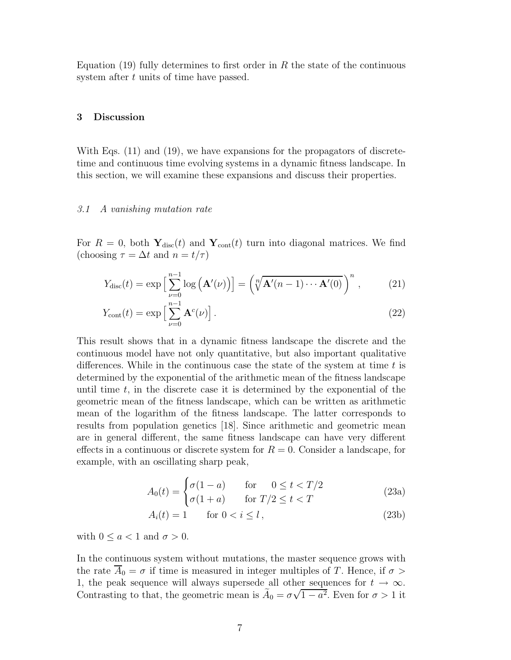Equation (19) fully determines to first order in R the state of the continuous system after t units of time have passed.

## 3 Discussion

With Eqs. (11) and (19), we have expansions for the propagators of discretetime and continuous time evolving systems in a dynamic fitness landscape. In this section, we will examine these expansions and discuss their properties.

#### 3.1 A vanishing mutation rate

For  $R = 0$ , both  $Y_{\text{disc}}(t)$  and  $Y_{\text{cont}}(t)$  turn into diagonal matrices. We find (choosing  $\tau = \Delta t$  and  $n = t/\tau$ )

$$
Y_{\text{disc}}(t) = \exp\left[\sum_{\nu=0}^{n-1} \log\left(\mathbf{A}'(\nu)\right)\right] = \left(\sqrt[n]{\mathbf{A}'(n-1)\cdots\mathbf{A}'(0)}\right)^n, \tag{21}
$$

$$
Y_{\text{cont}}(t) = \exp\left[\sum_{\nu=0}^{n-1} \mathbf{A}^c(\nu)\right].\tag{22}
$$

This result shows that in a dynamic fitness landscape the discrete and the continuous model have not only quantitative, but also important qualitative differences. While in the continuous case the state of the system at time  $t$  is determined by the exponential of the arithmetic mean of the fitness landscape until time  $t$ , in the discrete case it is determined by the exponential of the geometric mean of the fitness landscape, which can be written as arithmetic mean of the logarithm of the fitness landscape. The latter corresponds to results from population genetics [18]. Since arithmetic and geometric mean are in general different, the same fitness landscape can have very different effects in a continuous or discrete system for  $R = 0$ . Consider a landscape, for example, with an oscillating sharp peak,

$$
A_0(t) = \begin{cases} \sigma(1-a) & \text{for} \quad 0 \le t < T/2\\ \sigma(1+a) & \text{for} \quad T/2 \le t < T \end{cases}
$$
 (23a)

$$
A_i(t) = 1 \qquad \text{for } 0 < i \le l \,, \tag{23b}
$$

with  $0 \le a < 1$  and  $\sigma > 0$ .

In the continuous system without mutations, the master sequence grows with the rate  $A_0 = \sigma$  if time is measured in integer multiples of T. Hence, if  $\sigma >$ 1, the peak sequence will always supersede all other sequences for  $t \to \infty$ . Contrasting to that, the geometric mean is  $\tilde{A}_0 = \sigma \sqrt{1 - a^2}$ . Even for  $\sigma > 1$  it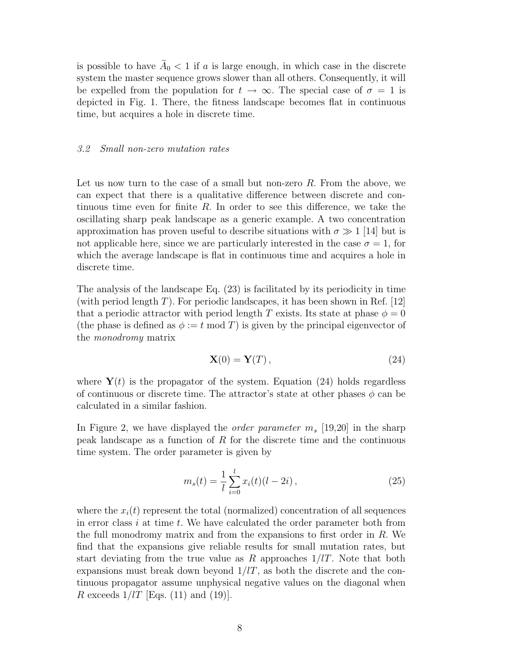is possible to have  $A_0 < 1$  if a is large enough, in which case in the discrete system the master sequence grows slower than all others. Consequently, it will be expelled from the population for  $t \to \infty$ . The special case of  $\sigma = 1$  is depicted in Fig. 1. There, the fitness landscape becomes flat in continuous time, but acquires a hole in discrete time.

#### 3.2 Small non-zero mutation rates

Let us now turn to the case of a small but non-zero  $R$ . From the above, we can expect that there is a qualitative difference between discrete and continuous time even for finite  $R$ . In order to see this difference, we take the oscillating sharp peak landscape as a generic example. A two concentration approximation has proven useful to describe situations with  $\sigma \gg 1$  [14] but is not applicable here, since we are particularly interested in the case  $\sigma = 1$ , for which the average landscape is flat in continuous time and acquires a hole in discrete time.

The analysis of the landscape Eq. (23) is facilitated by its periodicity in time (with period length  $T$ ). For periodic landscapes, it has been shown in Ref. [12] that a periodic attractor with period length T exists. Its state at phase  $\phi = 0$ (the phase is defined as  $\phi := t \mod T$ ) is given by the principal eigenvector of the monodromy matrix

$$
\mathbf{X}(0) = \mathbf{Y}(T),\tag{24}
$$

where  $\mathbf{Y}(t)$  is the propagator of the system. Equation (24) holds regardless of continuous or discrete time. The attractor's state at other phases  $\phi$  can be calculated in a similar fashion.

In Figure 2, we have displayed the *order parameter*  $m_s$  [19,20] in the sharp peak landscape as a function of R for the discrete time and the continuous time system. The order parameter is given by

$$
m_s(t) = \frac{1}{l} \sum_{i=0}^{l} x_i(t)(l - 2i), \qquad (25)
$$

where the  $x_i(t)$  represent the total (normalized) concentration of all sequences in error class  $i$  at time  $t$ . We have calculated the order parameter both from the full monodromy matrix and from the expansions to first order in  $R$ . We find that the expansions give reliable results for small mutation rates, but start deviating from the true value as R approaches  $1/IT$ . Note that both expansions must break down beyond  $1/IT$ , as both the discrete and the continuous propagator assume unphysical negative values on the diagonal when R exceeds  $1/lT$  [Eqs. (11) and (19)].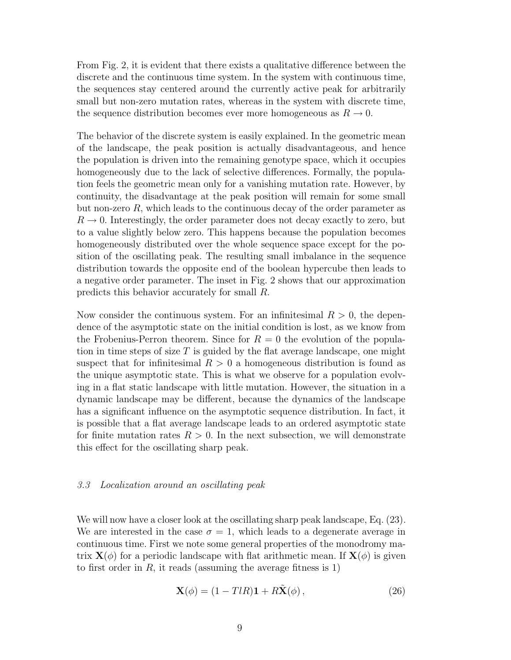From Fig. 2, it is evident that there exists a qualitative difference between the discrete and the continuous time system. In the system with continuous time, the sequences stay centered around the currently active peak for arbitrarily small but non-zero mutation rates, whereas in the system with discrete time, the sequence distribution becomes ever more homogeneous as  $R \to 0$ .

The behavior of the discrete system is easily explained. In the geometric mean of the landscape, the peak position is actually disadvantageous, and hence the population is driven into the remaining genotype space, which it occupies homogeneously due to the lack of selective differences. Formally, the population feels the geometric mean only for a vanishing mutation rate. However, by continuity, the disadvantage at the peak position will remain for some small but non-zero  $R$ , which leads to the continuous decay of the order parameter as  $R \rightarrow 0$ . Interestingly, the order parameter does not decay exactly to zero, but to a value slightly below zero. This happens because the population becomes homogeneously distributed over the whole sequence space except for the position of the oscillating peak. The resulting small imbalance in the sequence distribution towards the opposite end of the boolean hypercube then leads to a negative order parameter. The inset in Fig. 2 shows that our approximation predicts this behavior accurately for small R.

Now consider the continuous system. For an infinitesimal  $R > 0$ , the dependence of the asymptotic state on the initial condition is lost, as we know from the Frobenius-Perron theorem. Since for  $R = 0$  the evolution of the population in time steps of size  $T$  is guided by the flat average landscape, one might suspect that for infinitesimal  $R > 0$  a homogeneous distribution is found as the unique asymptotic state. This is what we observe for a population evolving in a flat static landscape with little mutation. However, the situation in a dynamic landscape may be different, because the dynamics of the landscape has a significant influence on the asymptotic sequence distribution. In fact, it is possible that a flat average landscape leads to an ordered asymptotic state for finite mutation rates  $R > 0$ . In the next subsection, we will demonstrate this effect for the oscillating sharp peak.

## 3.3 Localization around an oscillating peak

We will now have a closer look at the oscillating sharp peak landscape, Eq.  $(23)$ . We are interested in the case  $\sigma = 1$ , which leads to a degenerate average in continuous time. First we note some general properties of the monodromy matrix  $\mathbf{X}(\phi)$  for a periodic landscape with flat arithmetic mean. If  $\mathbf{X}(\phi)$  is given to first order in  $R$ , it reads (assuming the average fitness is 1)

$$
\mathbf{X}(\phi) = (1 - T l R) \mathbf{1} + R \tilde{\mathbf{X}}(\phi) , \qquad (26)
$$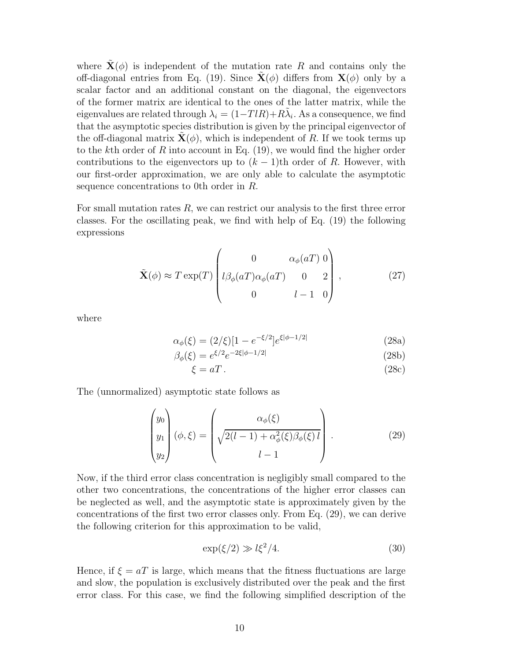where  $\tilde{\mathbf{X}}(\phi)$  is independent of the mutation rate R and contains only the off-diagonal entries from Eq. (19). Since  $\mathbf{X}(\phi)$  differs from  $\mathbf{X}(\phi)$  only by a scalar factor and an additional constant on the diagonal, the eigenvectors of the former matrix are identical to the ones of the latter matrix, while the eigenvalues are related through  $\lambda_i = (1 - T l R) + R \tilde{\lambda}_i$ . As a consequence, we find that the asymptotic species distribution is given by the principal eigenvector of the off-diagonal matrix  $\mathbf{X}(\phi)$ , which is independent of R. If we took terms up to the kth order of R into account in Eq.  $(19)$ , we would find the higher order contributions to the eigenvectors up to  $(k-1)$ th order of R. However, with our first-order approximation, we are only able to calculate the asymptotic sequence concentrations to 0th order in R.

For small mutation rates R, we can restrict our analysis to the first three error classes. For the oscillating peak, we find with help of Eq. (19) the following expressions

$$
\tilde{\mathbf{X}}(\phi) \approx T \exp(T) \begin{pmatrix} 0 & \alpha_{\phi}(aT) & 0 \\ l\beta_{\phi}(aT)\alpha_{\phi}(aT) & 0 & 2 \\ 0 & l-1 & 0 \end{pmatrix},
$$
\n(27)

where

$$
\alpha_{\phi}(\xi) = (2/\xi)[1 - e^{-\xi/2}]e^{\xi|\phi - 1/2|}
$$
\n(28a)

$$
\beta_{\phi}(\xi) = e^{\xi/2} e^{-2\xi|\phi - 1/2|}
$$
\n(28b)

$$
\xi = aT. \tag{28c}
$$

The (unnormalized) asymptotic state follows as

$$
\begin{pmatrix} y_0 \\ y_1 \\ y_2 \end{pmatrix} (\phi, \xi) = \begin{pmatrix} \alpha_{\phi}(\xi) \\ \sqrt{2(l-1) + \alpha_{\phi}^2(\xi)\beta_{\phi}(\xi) l} \\ l-1 \end{pmatrix} . \tag{29}
$$

Now, if the third error class concentration is negligibly small compared to the other two concentrations, the concentrations of the higher error classes can be neglected as well, and the asymptotic state is approximately given by the concentrations of the first two error classes only. From Eq. (29), we can derive the following criterion for this approximation to be valid,

$$
\exp(\xi/2) \gg l\xi^2/4. \tag{30}
$$

Hence, if  $\xi = aT$  is large, which means that the fitness fluctuations are large and slow, the population is exclusively distributed over the peak and the first error class. For this case, we find the following simplified description of the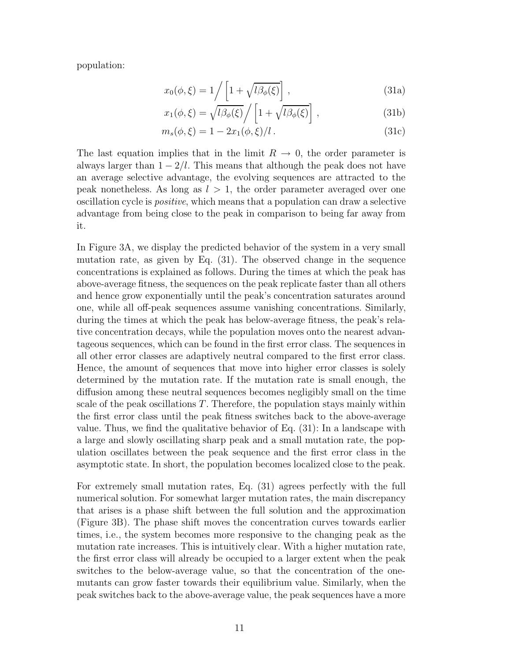population:

$$
x_0(\phi,\xi) = 1 \bigg/ \bigg[ 1 + \sqrt{l\beta_\phi(\xi)} \bigg] , \qquad (31a)
$$

$$
x_1(\phi,\xi) = \sqrt{l\beta_\phi(\xi)} / \left[1 + \sqrt{l\beta_\phi(\xi)}\right],\tag{31b}
$$

$$
m_s(\phi, \xi) = 1 - 2x_1(\phi, \xi)/l. \tag{31c}
$$

The last equation implies that in the limit  $R \to 0$ , the order parameter is always larger than  $1 - 2/l$ . This means that although the peak does not have an average selective advantage, the evolving sequences are attracted to the peak nonetheless. As long as  $l > 1$ , the order parameter averaged over one oscillation cycle is positive, which means that a population can draw a selective advantage from being close to the peak in comparison to being far away from it.

In Figure 3A, we display the predicted behavior of the system in a very small mutation rate, as given by Eq. (31). The observed change in the sequence concentrations is explained as follows. During the times at which the peak has above-average fitness, the sequences on the peak replicate faster than all others and hence grow exponentially until the peak's concentration saturates around one, while all off-peak sequences assume vanishing concentrations. Similarly, during the times at which the peak has below-average fitness, the peak's relative concentration decays, while the population moves onto the nearest advantageous sequences, which can be found in the first error class. The sequences in all other error classes are adaptively neutral compared to the first error class. Hence, the amount of sequences that move into higher error classes is solely determined by the mutation rate. If the mutation rate is small enough, the diffusion among these neutral sequences becomes negligibly small on the time scale of the peak oscillations  $T$ . Therefore, the population stays mainly within the first error class until the peak fitness switches back to the above-average value. Thus, we find the qualitative behavior of Eq. (31): In a landscape with a large and slowly oscillating sharp peak and a small mutation rate, the population oscillates between the peak sequence and the first error class in the asymptotic state. In short, the population becomes localized close to the peak.

For extremely small mutation rates, Eq. (31) agrees perfectly with the full numerical solution. For somewhat larger mutation rates, the main discrepancy that arises is a phase shift between the full solution and the approximation (Figure 3B). The phase shift moves the concentration curves towards earlier times, i.e., the system becomes more responsive to the changing peak as the mutation rate increases. This is intuitively clear. With a higher mutation rate, the first error class will already be occupied to a larger extent when the peak switches to the below-average value, so that the concentration of the onemutants can grow faster towards their equilibrium value. Similarly, when the peak switches back to the above-average value, the peak sequences have a more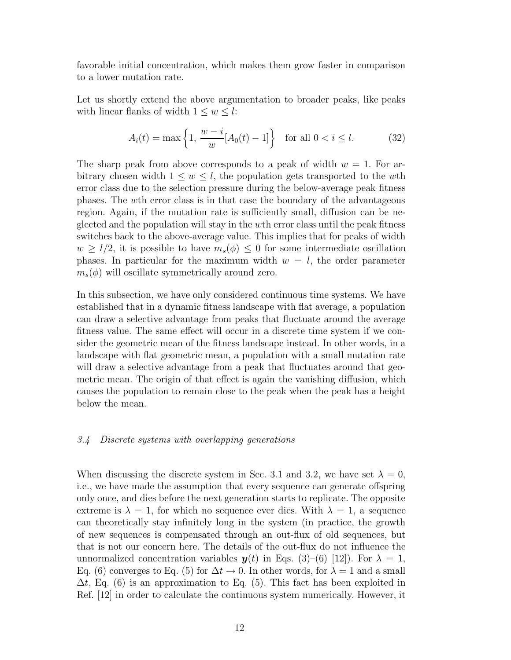favorable initial concentration, which makes them grow faster in comparison to a lower mutation rate.

Let us shortly extend the above argumentation to broader peaks, like peaks with linear flanks of width  $1 \leq w \leq l$ :

$$
A_i(t) = \max\left\{1, \frac{w - i}{w} [A_0(t) - 1]\right\} \text{ for all } 0 < i \le l. \tag{32}
$$

The sharp peak from above corresponds to a peak of width  $w = 1$ . For arbitrary chosen width  $1 \leq w \leq l$ , the population gets transported to the wth error class due to the selection pressure during the below-average peak fitness phases. The wth error class is in that case the boundary of the advantageous region. Again, if the mutation rate is sufficiently small, diffusion can be neglected and the population will stay in the wth error class until the peak fitness switches back to the above-average value. This implies that for peaks of width  $w \geq l/2$ , it is possible to have  $m_s(\phi) \leq 0$  for some intermediate oscillation phases. In particular for the maximum width  $w = l$ , the order parameter  $m_s(\phi)$  will oscillate symmetrically around zero.

In this subsection, we have only considered continuous time systems. We have established that in a dynamic fitness landscape with flat average, a population can draw a selective advantage from peaks that fluctuate around the average fitness value. The same effect will occur in a discrete time system if we consider the geometric mean of the fitness landscape instead. In other words, in a landscape with flat geometric mean, a population with a small mutation rate will draw a selective advantage from a peak that fluctuates around that geometric mean. The origin of that effect is again the vanishing diffusion, which causes the population to remain close to the peak when the peak has a height below the mean.

## 3.4 Discrete systems with overlapping generations

When discussing the discrete system in Sec. 3.1 and 3.2, we have set  $\lambda = 0$ , i.e., we have made the assumption that every sequence can generate offspring only once, and dies before the next generation starts to replicate. The opposite extreme is  $\lambda = 1$ , for which no sequence ever dies. With  $\lambda = 1$ , a sequence can theoretically stay infinitely long in the system (in practice, the growth of new sequences is compensated through an out-flux of old sequences, but that is not our concern here. The details of the out-flux do not influence the unnormalized concentration variables  $y(t)$  in Eqs. (3)–(6) [12]). For  $\lambda = 1$ , Eq. (6) converges to Eq. (5) for  $\Delta t \to 0$ . In other words, for  $\lambda = 1$  and a small  $\Delta t$ , Eq. (6) is an approximation to Eq. (5). This fact has been exploited in Ref. [12] in order to calculate the continuous system numerically. However, it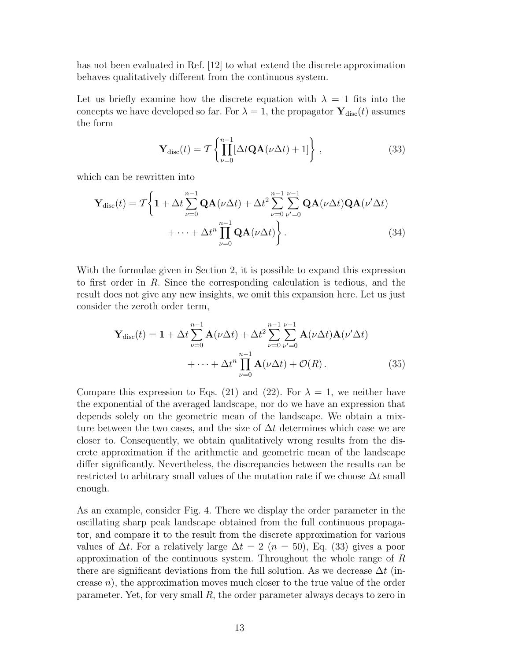has not been evaluated in Ref. [12] to what extend the discrete approximation behaves qualitatively different from the continuous system.

Let us briefly examine how the discrete equation with  $\lambda = 1$  fits into the concepts we have developed so far. For  $\lambda = 1$ , the propagator  $\mathbf{Y}_{\text{disc}}(t)$  assumes the form

$$
\mathbf{Y}_{\text{disc}}(t) = \mathcal{T} \left\{ \prod_{\nu=0}^{n-1} [\Delta t \mathbf{Q} \mathbf{A}(\nu \Delta t) + 1] \right\},\tag{33}
$$

which can be rewritten into

$$
\mathbf{Y}_{\text{disc}}(t) = \mathcal{T} \left\{ \mathbf{1} + \Delta t \sum_{\nu=0}^{n-1} \mathbf{Q} \mathbf{A}(\nu \Delta t) + \Delta t^2 \sum_{\nu=0}^{n-1} \sum_{\nu'=0}^{\nu-1} \mathbf{Q} \mathbf{A}(\nu \Delta t) \mathbf{Q} \mathbf{A}(\nu' \Delta t) + \cdots + \Delta t^n \prod_{\nu=0}^{n-1} \mathbf{Q} \mathbf{A}(\nu \Delta t) \right\}.
$$
 (34)

With the formulae given in Section 2, it is possible to expand this expression to first order in R. Since the corresponding calculation is tedious, and the result does not give any new insights, we omit this expansion here. Let us just consider the zeroth order term,

$$
\mathbf{Y}_{\text{disc}}(t) = \mathbf{1} + \Delta t \sum_{\nu=0}^{n-1} \mathbf{A}(\nu \Delta t) + \Delta t^2 \sum_{\nu=0}^{n-1} \sum_{\nu'=0}^{\nu-1} \mathbf{A}(\nu \Delta t) \mathbf{A}(\nu' \Delta t)
$$

$$
+ \cdots + \Delta t^n \prod_{\nu=0}^{n-1} \mathbf{A}(\nu \Delta t) + \mathcal{O}(R) \,. \tag{35}
$$

Compare this expression to Eqs. (21) and (22). For  $\lambda = 1$ , we neither have the exponential of the averaged landscape, nor do we have an expression that depends solely on the geometric mean of the landscape. We obtain a mixture between the two cases, and the size of  $\Delta t$  determines which case we are closer to. Consequently, we obtain qualitatively wrong results from the discrete approximation if the arithmetic and geometric mean of the landscape differ significantly. Nevertheless, the discrepancies between the results can be restricted to arbitrary small values of the mutation rate if we choose  $\Delta t$  small enough.

As an example, consider Fig. 4. There we display the order parameter in the oscillating sharp peak landscape obtained from the full continuous propagator, and compare it to the result from the discrete approximation for various values of  $\Delta t$ . For a relatively large  $\Delta t = 2$  ( $n = 50$ ), Eq. (33) gives a poor approximation of the continuous system. Throughout the whole range of R there are significant deviations from the full solution. As we decrease  $\Delta t$  (increase n), the approximation moves much closer to the true value of the order parameter. Yet, for very small  $R$ , the order parameter always decays to zero in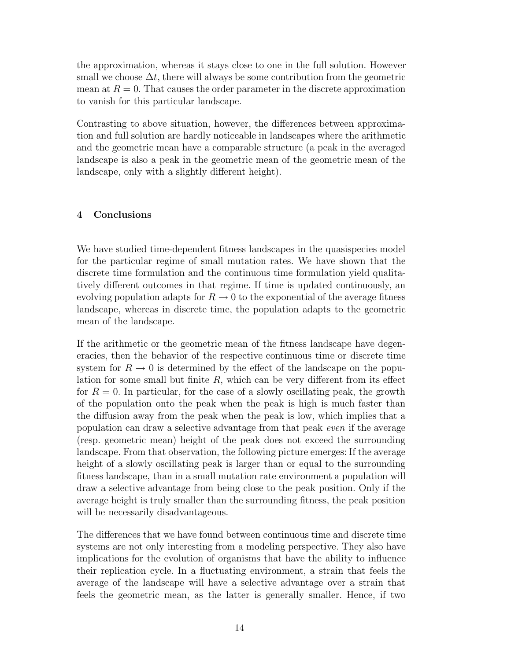the approximation, whereas it stays close to one in the full solution. However small we choose  $\Delta t$ , there will always be some contribution from the geometric mean at  $R = 0$ . That causes the order parameter in the discrete approximation to vanish for this particular landscape.

Contrasting to above situation, however, the differences between approximation and full solution are hardly noticeable in landscapes where the arithmetic and the geometric mean have a comparable structure (a peak in the averaged landscape is also a peak in the geometric mean of the geometric mean of the landscape, only with a slightly different height).

# 4 Conclusions

We have studied time-dependent fitness landscapes in the quasispecies model for the particular regime of small mutation rates. We have shown that the discrete time formulation and the continuous time formulation yield qualitatively different outcomes in that regime. If time is updated continuously, an evolving population adapts for  $R \to 0$  to the exponential of the average fitness landscape, whereas in discrete time, the population adapts to the geometric mean of the landscape.

If the arithmetic or the geometric mean of the fitness landscape have degeneracies, then the behavior of the respective continuous time or discrete time system for  $R \to 0$  is determined by the effect of the landscape on the population for some small but finite  $R$ , which can be very different from its effect for  $R = 0$ . In particular, for the case of a slowly oscillating peak, the growth of the population onto the peak when the peak is high is much faster than the diffusion away from the peak when the peak is low, which implies that a population can draw a selective advantage from that peak even if the average (resp. geometric mean) height of the peak does not exceed the surrounding landscape. From that observation, the following picture emerges: If the average height of a slowly oscillating peak is larger than or equal to the surrounding fitness landscape, than in a small mutation rate environment a population will draw a selective advantage from being close to the peak position. Only if the average height is truly smaller than the surrounding fitness, the peak position will be necessarily disadvantageous.

The differences that we have found between continuous time and discrete time systems are not only interesting from a modeling perspective. They also have implications for the evolution of organisms that have the ability to influence their replication cycle. In a fluctuating environment, a strain that feels the average of the landscape will have a selective advantage over a strain that feels the geometric mean, as the latter is generally smaller. Hence, if two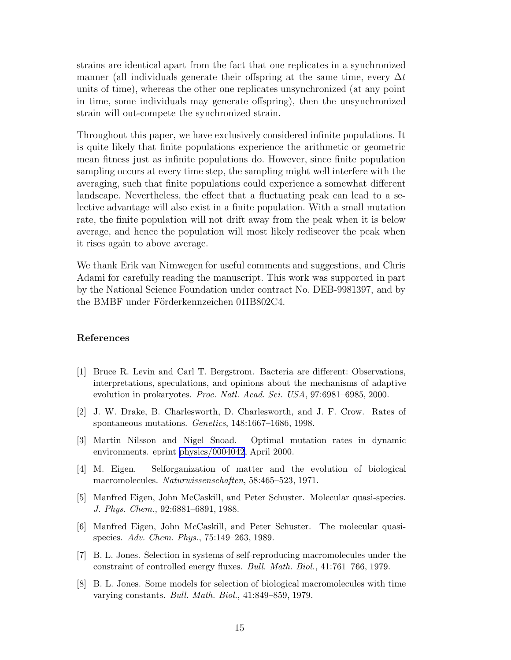strains are identical apart from the fact that one replicates in a synchronized manner (all individuals generate their offspring at the same time, every  $\Delta t$ units of time), whereas the other one replicates unsynchronized (at any point in time, some individuals may generate offspring), then the unsynchronized strain will out-compete the synchronized strain.

Throughout this paper, we have exclusively considered infinite populations. It is quite likely that finite populations experience the arithmetic or geometric mean fitness just as infinite populations do. However, since finite population sampling occurs at every time step, the sampling might well interfere with the averaging, such that finite populations could experience a somewhat different landscape. Nevertheless, the effect that a fluctuating peak can lead to a selective advantage will also exist in a finite population. With a small mutation rate, the finite population will not drift away from the peak when it is below average, and hence the population will most likely rediscover the peak when it rises again to above average.

We thank Erik van Nimwegen for useful comments and suggestions, and Chris Adami for carefully reading the manuscript. This work was supported in part by the National Science Foundation under contract No. DEB-9981397, and by the BMBF under Förderkennzeichen 01IB802C4.

## References

- [1] Bruce R. Levin and Carl T. Bergstrom. Bacteria are different: Observations, interpretations, speculations, and opinions about the mechanisms of adaptive evolution in prokaryotes. Proc. Natl. Acad. Sci. USA, 97:6981–6985, 2000.
- [2] J. W. Drake, B. Charlesworth, D. Charlesworth, and J. F. Crow. Rates of spontaneous mutations. *Genetics*, 148:1667–1686, 1998.
- [3] Martin Nilsson and Nigel Snoad. Optimal mutation rates in dynamic environments. eprint [physics/0004042](http://arXiv.org/abs/physics/0004042), April 2000.
- [4] M. Eigen. Selforganization of matter and the evolution of biological macromolecules. Naturwissenschaften, 58:465–523, 1971.
- [5] Manfred Eigen, John McCaskill, and Peter Schuster. Molecular quasi-species. J. Phys. Chem., 92:6881–6891, 1988.
- [6] Manfred Eigen, John McCaskill, and Peter Schuster. The molecular quasispecies. Adv. Chem. Phys., 75:149–263, 1989.
- [7] B. L. Jones. Selection in systems of self-reproducing macromolecules under the constraint of controlled energy fluxes. Bull. Math. Biol., 41:761–766, 1979.
- [8] B. L. Jones. Some models for selection of biological macromolecules with time varying constants. Bull. Math. Biol., 41:849–859, 1979.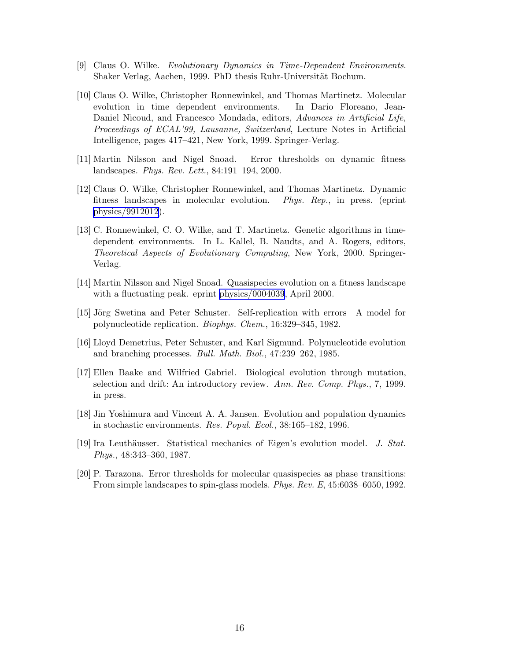- [9] Claus O. Wilke. Evolutionary Dynamics in Time-Dependent Environments. Shaker Verlag, Aachen, 1999. PhD thesis Ruhr-Universität Bochum.
- [10] Claus O. Wilke, Christopher Ronnewinkel, and Thomas Martinetz. Molecular evolution in time dependent environments. In Dario Floreano, Jean-Daniel Nicoud, and Francesco Mondada, editors, Advances in Artificial Life, Proceedings of ECAL'99, Lausanne, Switzerland, Lecture Notes in Artificial Intelligence, pages 417–421, New York, 1999. Springer-Verlag.
- [11] Martin Nilsson and Nigel Snoad. Error thresholds on dynamic fitness landscapes. Phys. Rev. Lett., 84:191–194, 2000.
- [12] Claus O. Wilke, Christopher Ronnewinkel, and Thomas Martinetz. Dynamic fitness landscapes in molecular evolution. Phys. Rep., in press. (eprint [physics/9912012](http://arXiv.org/abs/physics/9912012)).
- [13] C. Ronnewinkel, C. O. Wilke, and T. Martinetz. Genetic algorithms in timedependent environments. In L. Kallel, B. Naudts, and A. Rogers, editors, Theoretical Aspects of Evolutionary Computing, New York, 2000. Springer-Verlag.
- [14] Martin Nilsson and Nigel Snoad. Quasispecies evolution on a fitness landscape with a fluctuating peak. eprint [physics/0004039](http://arXiv.org/abs/physics/0004039), April 2000.
- [15] Jörg Swetina and Peter Schuster. Self-replication with errors—A model for polynucleotide replication. Biophys. Chem., 16:329–345, 1982.
- [16] Lloyd Demetrius, Peter Schuster, and Karl Sigmund. Polynucleotide evolution and branching processes. Bull. Math. Biol., 47:239–262, 1985.
- [17] Ellen Baake and Wilfried Gabriel. Biological evolution through mutation, selection and drift: An introductory review. Ann. Rev. Comp. Phys., 7, 1999. in press.
- [18] Jin Yoshimura and Vincent A. A. Jansen. Evolution and population dynamics in stochastic environments. Res. Popul. Ecol., 38:165–182, 1996.
- [19] Ira Leuthäusser. Statistical mechanics of Eigen's evolution model. J. Stat. Phys., 48:343–360, 1987.
- [20] P. Tarazona. Error thresholds for molecular quasispecies as phase transitions: From simple landscapes to spin-glass models. Phys. Rev. E, 45:6038–6050, 1992.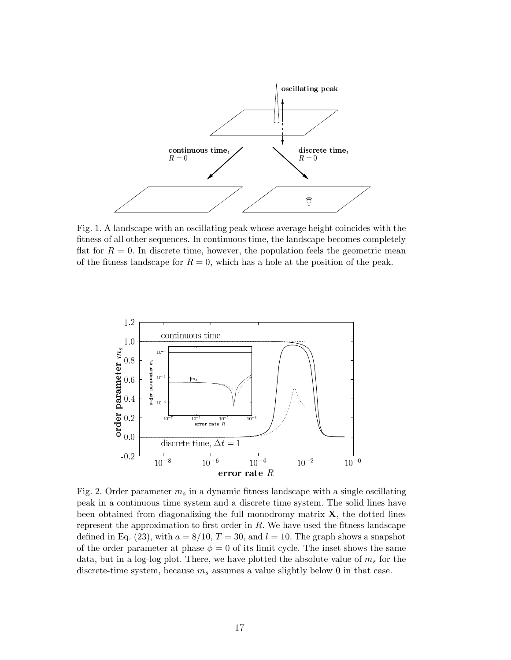

Fig. 1. A landscape with an oscillating peak whose average height coincides with the fitness of all other sequences. In continuous time, the landscape becomes completely flat for  $R = 0$ . In discrete time, however, the population feels the geometric mean of the fitness landscape for  $R = 0$ , which has a hole at the position of the peak.



Fig. 2. Order parameter  $m_s$  in a dynamic fitness landscape with a single oscillating peak in a continuous time system and a discrete time system. The solid lines have been obtained from diagonalizing the full monodromy matrix  $X$ , the dotted lines represent the approximation to first order in  $R$ . We have used the fitness landscape defined in Eq. (23), with  $a = 8/10$ ,  $T = 30$ , and  $l = 10$ . The graph shows a snapshot of the order parameter at phase  $\phi = 0$  of its limit cycle. The inset shows the same data, but in a log-log plot. There, we have plotted the absolute value of  $m_s$  for the discrete-time system, because  $m_s$  assumes a value slightly below 0 in that case.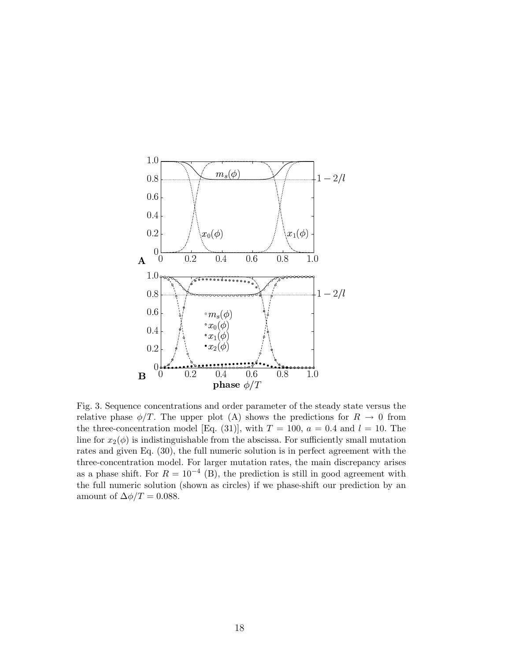

Fig. 3. Sequence concentrations and order parameter of the steady state versus the relative phase  $\phi/T$ . The upper plot (A) shows the predictions for  $R \to 0$  from the three-concentration model [Eq. (31)], with  $T = 100$ ,  $a = 0.4$  and  $l = 10$ . The line for  $x_2(\phi)$  is indistinguishable from the abscissa. For sufficiently small mutation rates and given Eq. (30), the full numeric solution is in perfect agreement with the three-concentration model. For larger mutation rates, the main discrepancy arises as a phase shift. For  $R = 10^{-4}$  (B), the prediction is still in good agreement with the full numeric solution (shown as circles) if we phase-shift our prediction by an amount of  $\Delta\phi/T = 0.088$ .